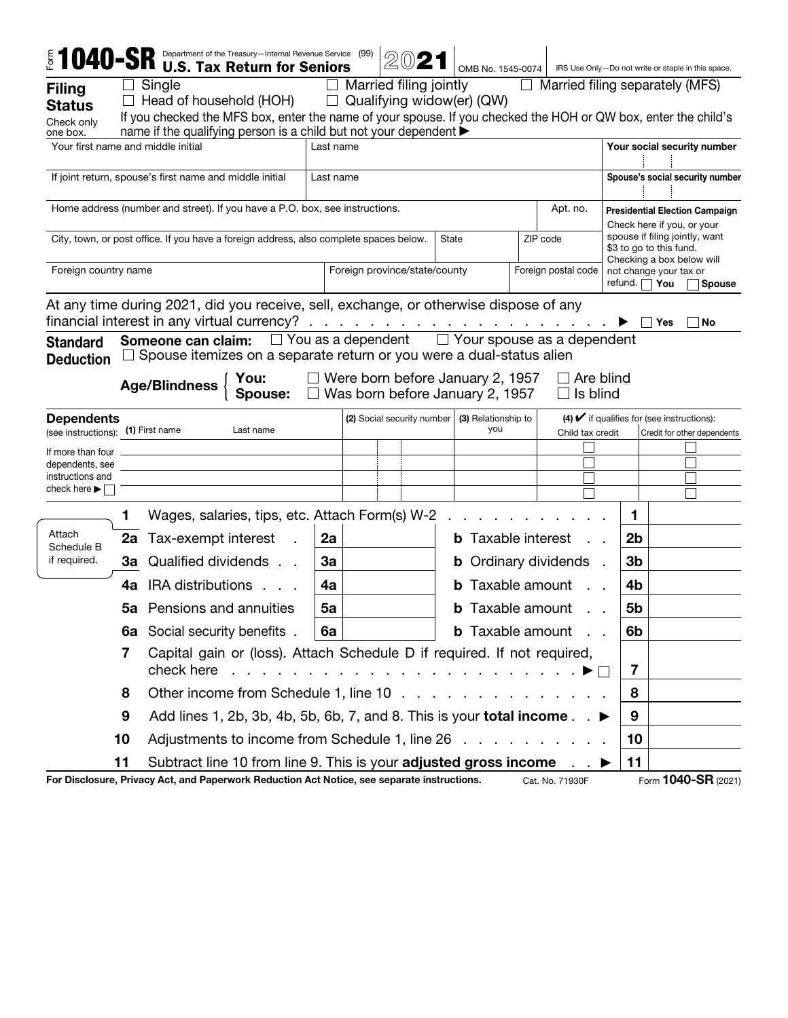|                                                                                         |    | $1040$ -SR Department of the Treasury—Internal Revenue Service (99)<br><b>U.S. Tax Return for Seniors</b>                                                                                           |                                                      |                                   |  |                            |                                                                                                             |                                         |                                                               | OMB No. 1545-0074   IRS Use Only-Do not write or staple in this space.      |   |                |     |                             |
|-----------------------------------------------------------------------------------------|----|-----------------------------------------------------------------------------------------------------------------------------------------------------------------------------------------------------|------------------------------------------------------|-----------------------------------|--|----------------------------|-------------------------------------------------------------------------------------------------------------|-----------------------------------------|---------------------------------------------------------------|-----------------------------------------------------------------------------|---|----------------|-----|-----------------------------|
| <b>Filing</b>                                                                           |    | Single                                                                                                                                                                                              |                                                      |                                   |  |                            |                                                                                                             |                                         |                                                               |                                                                             |   |                |     |                             |
| <b>Status</b>                                                                           |    | Married filing jointly<br>$\Box$ Married filing separately (MFS)<br>$\Box$ Qualifying widow(er) (QW)<br>$\Box$ Head of household (HOH)                                                              |                                                      |                                   |  |                            |                                                                                                             |                                         |                                                               |                                                                             |   |                |     |                             |
| Check only                                                                              |    | If you checked the MFS box, enter the name of your spouse. If you checked the HOH or QW box, enter the child's                                                                                      |                                                      |                                   |  |                            |                                                                                                             |                                         |                                                               |                                                                             |   |                |     |                             |
| one box.                                                                                |    | name if the qualifying person is a child but not your dependent ▶                                                                                                                                   |                                                      |                                   |  |                            |                                                                                                             |                                         |                                                               |                                                                             |   |                |     |                             |
| Your first name and middle initial<br>Last name                                         |    |                                                                                                                                                                                                     |                                                      |                                   |  |                            |                                                                                                             | Your social security number             |                                                               |                                                                             |   |                |     |                             |
| If joint return, spouse's first name and middle initial<br>Last name                    |    |                                                                                                                                                                                                     |                                                      |                                   |  |                            |                                                                                                             |                                         | Spouse's social security number                               |                                                                             |   |                |     |                             |
| Home address (number and street). If you have a P.O. box, see instructions.<br>Apt. no. |    |                                                                                                                                                                                                     |                                                      |                                   |  |                            |                                                                                                             |                                         |                                                               | <b>Presidential Election Campaign</b><br>Check here if you, or your         |   |                |     |                             |
|                                                                                         |    | City, town, or post office. If you have a foreign address, also complete spaces below.                                                                                                              |                                                      |                                   |  |                            | spouse if filing jointly, want<br>ZIP code<br>State<br>\$3 to go to this fund.<br>Checking a box below will |                                         |                                                               |                                                                             |   |                |     |                             |
| Foreign country name                                                                    |    |                                                                                                                                                                                                     | Foreign province/state/county<br>Foreign postal code |                                   |  |                            |                                                                                                             |                                         | not change your tax or<br>refund. $\Box$ You<br><b>Spouse</b> |                                                                             |   |                |     |                             |
|                                                                                         |    | At any time during 2021, did you receive, sell, exchange, or otherwise dispose of any<br>financial interest in any virtual currency? $\ldots$ $\ldots$ $\ldots$ $\ldots$ $\ldots$ $\ldots$ $\ldots$ |                                                      |                                   |  |                            |                                                                                                             |                                         |                                                               |                                                                             |   |                | Yes | No                          |
| <b>Standard</b>                                                                         |    | Someone can claim: □ You as a dependent □ Your spouse as a dependent<br>$\Box$ Spouse itemizes on a separate return or you were a dual-status alien                                                 |                                                      |                                   |  |                            |                                                                                                             |                                         |                                                               |                                                                             |   |                |     |                             |
| <b>Deduction</b>                                                                        |    |                                                                                                                                                                                                     |                                                      |                                   |  |                            |                                                                                                             |                                         |                                                               |                                                                             |   |                |     |                             |
|                                                                                         |    | You:<br><b>Age/Blindness</b><br><b>Spouse:</b> $\Box$ Was born before January 2, 1957                                                                                                               |                                                      |                                   |  |                            |                                                                                                             | $\Box$ Were born before January 2, 1957 |                                                               | $\Box$ Are blind<br>$\Box$ Is blind                                         |   |                |     |                             |
| <b>Dependents</b><br>(see instructions): (1) First name                                 |    | Last name                                                                                                                                                                                           |                                                      |                                   |  | (2) Social security number |                                                                                                             | (3) Relationship to<br>you              |                                                               | $(4)$ $\checkmark$ if qualifies for (see instructions):<br>Child tax credit |   |                |     | Credit for other dependents |
| If more than four                                                                       |    |                                                                                                                                                                                                     |                                                      |                                   |  |                            |                                                                                                             |                                         |                                                               |                                                                             |   |                |     |                             |
| dependents, see                                                                         |    |                                                                                                                                                                                                     |                                                      |                                   |  |                            |                                                                                                             |                                         |                                                               |                                                                             |   |                |     |                             |
| instructions and<br>check here $\blacktriangleright \Box$                               |    |                                                                                                                                                                                                     |                                                      |                                   |  |                            |                                                                                                             |                                         |                                                               |                                                                             |   |                |     |                             |
|                                                                                         |    |                                                                                                                                                                                                     |                                                      |                                   |  |                            |                                                                                                             |                                         |                                                               |                                                                             |   |                |     |                             |
|                                                                                         | 1. | Wages, salaries, tips, etc. Attach Form(s) W-2                                                                                                                                                      |                                                      |                                   |  |                            |                                                                                                             |                                         |                                                               |                                                                             |   | 1              |     |                             |
| Attach<br>Schedule B                                                                    |    | 2a Tax-exempt interest                                                                                                                                                                              | 2a                                                   | <b>b</b> Taxable interest         |  |                            |                                                                                                             |                                         | 2 <sub>b</sub>                                                |                                                                             |   |                |     |                             |
| if required.                                                                            |    | <b>3a</b> Qualified dividends                                                                                                                                                                       |                                                      | 3a<br><b>b</b> Ordinary dividends |  |                            |                                                                                                             |                                         |                                                               | 3b                                                                          |   |                |     |                             |
|                                                                                         |    | 4a IRA distributions.                                                                                                                                                                               | 4a                                                   |                                   |  |                            |                                                                                                             | <b>b</b> Taxable amount                 |                                                               |                                                                             |   | 4b             |     |                             |
|                                                                                         |    | <b>5a</b> Pensions and annuities                                                                                                                                                                    | 5a                                                   |                                   |  |                            |                                                                                                             | <b>b</b> Taxable amount                 |                                                               |                                                                             |   | 5b             |     |                             |
|                                                                                         |    | <b>6a</b> Social security benefits.                                                                                                                                                                 | 6a                                                   |                                   |  |                            |                                                                                                             |                                         |                                                               | <b>b</b> Taxable amount                                                     |   | 6 <sub>b</sub> |     |                             |
|                                                                                         | 7  | Capital gain or (loss). Attach Schedule D if required. If not required,<br>check here                                                                                                               |                                                      |                                   |  |                            |                                                                                                             |                                         |                                                               | 7                                                                           |   |                |     |                             |
|                                                                                         | 8  | Other income from Schedule 1, line 10<br>Add lines 1, 2b, 3b, 4b, 5b, 6b, 7, and 8. This is your <b>total income</b> . . $\blacktriangleright$                                                      |                                                      |                                   |  |                            |                                                                                                             |                                         |                                                               |                                                                             | 8 |                |     |                             |
|                                                                                         | 9  |                                                                                                                                                                                                     |                                                      |                                   |  |                            |                                                                                                             |                                         |                                                               |                                                                             | 9 |                |     |                             |
|                                                                                         | 10 | Adjustments to income from Schedule 1, line 26                                                                                                                                                      |                                                      |                                   |  |                            |                                                                                                             |                                         |                                                               | 10                                                                          |   |                |     |                             |
|                                                                                         | 11 | Subtract line 10 from line 9. This is your adjusted gross income                                                                                                                                    |                                                      |                                   |  |                            |                                                                                                             |                                         |                                                               |                                                                             |   | 11             |     |                             |
|                                                                                         |    | For Disclosure, Privacy Act, and Paperwork Reduction Act Notice, see separate instructions.                                                                                                         |                                                      |                                   |  |                            |                                                                                                             |                                         |                                                               | Cat. No. 71930F                                                             |   |                |     | Form 1040-SR (2021)         |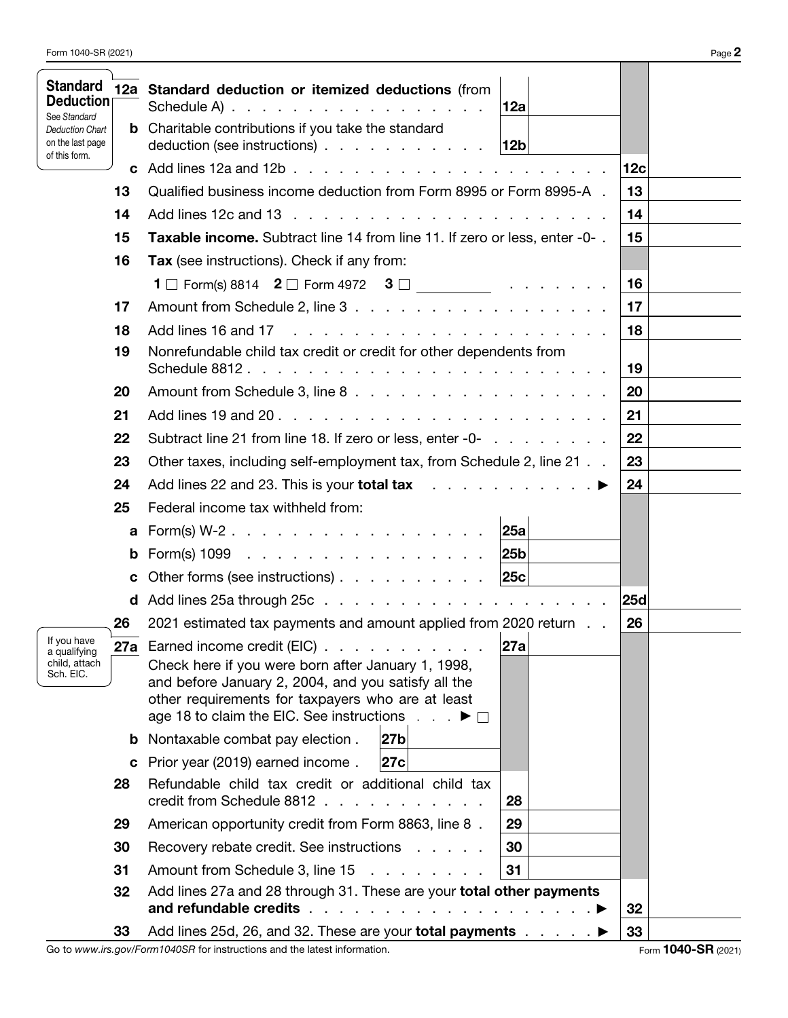| <b>Standard</b><br>Deduction<br>See Standard                |                                                                                                                                       | 12a Standard deduction or itemized deductions (from<br>Schedule A) $\ldots$ $\ldots$ $\ldots$ $\ldots$ $\ldots$ $\ldots$ $\ldots$                                                                           | 12a |     |  |  |  |
|-------------------------------------------------------------|---------------------------------------------------------------------------------------------------------------------------------------|-------------------------------------------------------------------------------------------------------------------------------------------------------------------------------------------------------------|-----|-----|--|--|--|
| <b>Deduction Chart</b><br>on the last page<br>of this form. |                                                                                                                                       | <b>b</b> Charitable contributions if you take the standard<br>deduction (see instructions) $\ldots$ $\ldots$ $\ldots$ $\ldots$ $\ldots$                                                                     | 12b |     |  |  |  |
|                                                             |                                                                                                                                       | <b>c</b> Add lines 12a and 12b $\ldots$ $\ldots$ $\ldots$ $\ldots$ $\ldots$ $\ldots$ $\ldots$                                                                                                               |     | 12c |  |  |  |
|                                                             | 13                                                                                                                                    | Qualified business income deduction from Form 8995 or Form 8995-A.                                                                                                                                          |     | 13  |  |  |  |
|                                                             | 14                                                                                                                                    | Add lines 12c and 13                                                                                                                                                                                        |     | 14  |  |  |  |
|                                                             | 15                                                                                                                                    | Taxable income. Subtract line 14 from line 11. If zero or less, enter -0-.                                                                                                                                  |     | 15  |  |  |  |
|                                                             | 16                                                                                                                                    | Tax (see instructions). Check if any from:                                                                                                                                                                  |     |     |  |  |  |
|                                                             |                                                                                                                                       | <b>1</b> $\Box$ Form(s) 8814 <b>2</b> $\Box$ Form 4972 <b>3</b> $\Box$ <b></b>                                                                                                                              |     | 16  |  |  |  |
|                                                             | 17                                                                                                                                    |                                                                                                                                                                                                             |     | 17  |  |  |  |
|                                                             | 18                                                                                                                                    | Add lines 16 and 17                                                                                                                                                                                         | 18  |     |  |  |  |
|                                                             | 19                                                                                                                                    | Nonrefundable child tax credit or credit for other dependents from                                                                                                                                          |     |     |  |  |  |
|                                                             | 20                                                                                                                                    |                                                                                                                                                                                                             |     | 20  |  |  |  |
|                                                             | 21                                                                                                                                    |                                                                                                                                                                                                             |     | 21  |  |  |  |
|                                                             | 22                                                                                                                                    | Subtract line 21 from line 18. If zero or less, enter -0-                                                                                                                                                   | 22  |     |  |  |  |
|                                                             | 23                                                                                                                                    | Other taxes, including self-employment tax, from Schedule 2, line 21                                                                                                                                        | 23  |     |  |  |  |
|                                                             | 24                                                                                                                                    | Add lines 22 and 23. This is your <b>total tax</b> $\ldots$ $\ldots$ $\ldots$ $\ldots$                                                                                                                      |     | 24  |  |  |  |
|                                                             | 25                                                                                                                                    | Federal income tax withheld from:                                                                                                                                                                           |     |     |  |  |  |
|                                                             | a                                                                                                                                     | $Form(s) W-2$ .                                                                                                                                                                                             | 25a |     |  |  |  |
|                                                             | b                                                                                                                                     | Form(s) $1099$                                                                                                                                                                                              | 25b |     |  |  |  |
|                                                             | C                                                                                                                                     | Other forms (see instructions) 25c                                                                                                                                                                          |     |     |  |  |  |
|                                                             |                                                                                                                                       |                                                                                                                                                                                                             |     | 25d |  |  |  |
|                                                             | 26                                                                                                                                    | 2021 estimated tax payments and amount applied from 2020 return                                                                                                                                             |     | 26  |  |  |  |
| If you have<br>a qualifying                                 |                                                                                                                                       | 27a Earned income credit (EIC)                                                                                                                                                                              | 27a |     |  |  |  |
| child, attach<br>Sch. EIC.                                  |                                                                                                                                       | Check here if you were born after January 1, 1998,<br>and before January 2, 2004, and you satisfy all the<br>other requirements for taxpayers who are at least<br>age 18 to claim the EIC. See instructions |     |     |  |  |  |
|                                                             |                                                                                                                                       | 27b<br><b>b</b> Nontaxable combat pay election.                                                                                                                                                             |     |     |  |  |  |
|                                                             |                                                                                                                                       | 27c<br>c Prior year (2019) earned income.                                                                                                                                                                   |     |     |  |  |  |
|                                                             | 28                                                                                                                                    | Refundable child tax credit or additional child tax<br>credit from Schedule 8812                                                                                                                            | 28  |     |  |  |  |
|                                                             | 29                                                                                                                                    | American opportunity credit from Form 8863, line 8.                                                                                                                                                         | 29  |     |  |  |  |
|                                                             | 30                                                                                                                                    | Recovery rebate credit. See instructions                                                                                                                                                                    | 30  |     |  |  |  |
|                                                             | 31                                                                                                                                    | 31                                                                                                                                                                                                          |     |     |  |  |  |
|                                                             | Add lines 27a and 28 through 31. These are your total other payments<br>32<br>and refundable credits<br>and the company of the second |                                                                                                                                                                                                             |     |     |  |  |  |
|                                                             | 33                                                                                                                                    | Add lines 25d, 26, and 32. These are your total payments                                                                                                                                                    | 33  |     |  |  |  |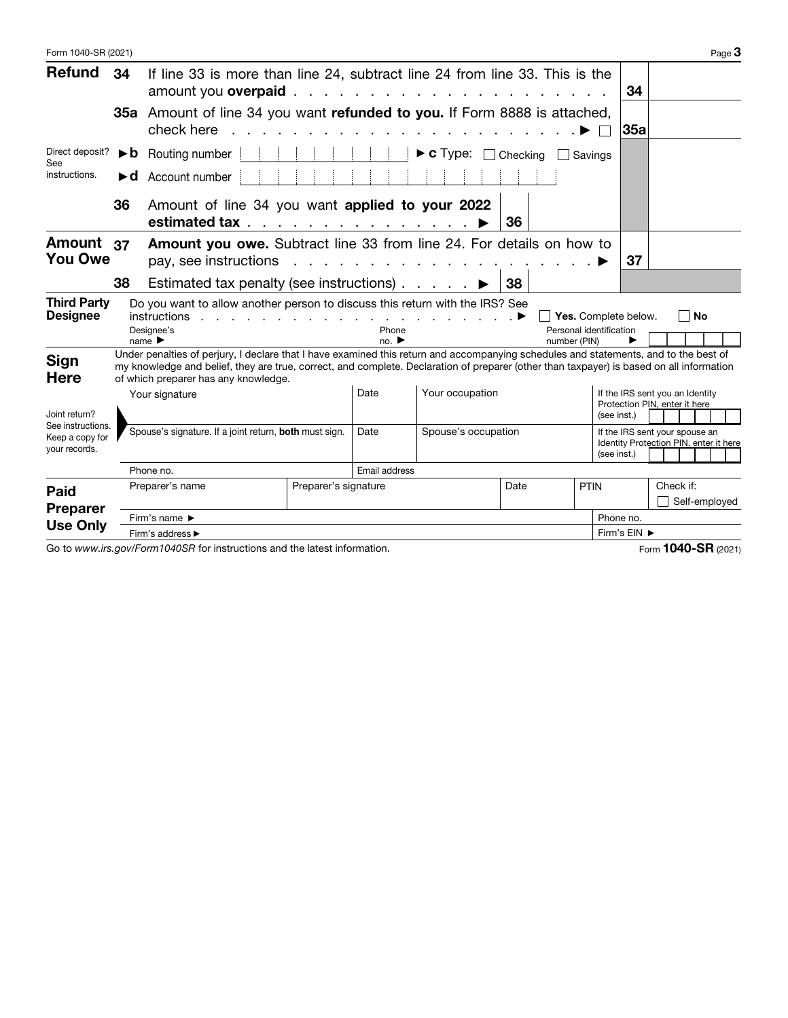| Form 1040-SR (2021)                                                    |                                                        |                                                                                                                                                                                                                                                                                                                                                        |                      |               |                                              |              |                                                                                 |                                                                          |                | Page $3$      |
|------------------------------------------------------------------------|--------------------------------------------------------|--------------------------------------------------------------------------------------------------------------------------------------------------------------------------------------------------------------------------------------------------------------------------------------------------------------------------------------------------------|----------------------|---------------|----------------------------------------------|--------------|---------------------------------------------------------------------------------|--------------------------------------------------------------------------|----------------|---------------|
| <b>Refund</b>                                                          | 34                                                     | If line 33 is more than line 24, subtract line 24 from line 33. This is the<br>amount you overpaid.                                                                                                                                                                                                                                                    |                      |               | and the contract of the contract of the con- |              |                                                                                 | 34                                                                       |                |               |
| Direct deposit?<br>See<br>instructions.                                |                                                        | 35a Amount of line 34 you want refunded to you. If Form 8888 is attached,<br>check here<br>35a                                                                                                                                                                                                                                                         |                      |               |                                              |              |                                                                                 |                                                                          |                |               |
|                                                                        | ►b.                                                    | $\triangleright$ <b>c</b> Type:<br>Routing number<br>Checking<br>Savings                                                                                                                                                                                                                                                                               |                      |               |                                              |              |                                                                                 |                                                                          |                |               |
|                                                                        | ►d                                                     | Account number                                                                                                                                                                                                                                                                                                                                         |                      |               |                                              |              |                                                                                 |                                                                          |                |               |
|                                                                        | 36                                                     | Amount of line 34 you want applied to your 2022<br>estimated tax ▶                                                                                                                                                                                                                                                                                     |                      |               |                                              | 36           |                                                                                 |                                                                          |                |               |
| Amount 37<br><b>You Owe</b>                                            |                                                        | Amount you owe. Subtract line 33 from line 24. For details on how to<br>pay, see instructions                                                                                                                                                                                                                                                          |                      |               | <u>na karatana ana ana ana ana an</u>        |              |                                                                                 | 37                                                                       |                |               |
|                                                                        | 38                                                     | Estimated tax penalty (see instructions) $\ldots$ $\ldots$                                                                                                                                                                                                                                                                                             |                      |               |                                              | 38           |                                                                                 |                                                                          |                |               |
| <b>Third Party</b><br><b>Designee</b>                                  |                                                        | Do you want to allow another person to discuss this return with the IRS? See<br>instructions<br>$\mathcal{L}$ . The set of the set of the set of the set of the set of the set of the set of $\blacktriangleright$<br>Designee's                                                                                                                       |                      | Phone         |                                              |              | Yes. Complete below.<br>Personal identification                                 |                                                                          | $\blacksquare$ | <b>No</b>     |
| <b>Sign</b><br><b>Here</b>                                             |                                                        | name $\blacktriangleright$<br>Under penalties of perjury, I declare that I have examined this return and accompanying schedules and statements, and to the best of<br>my knowledge and belief, they are true, correct, and complete. Declaration of preparer (other than taxpayer) is based on all information<br>of which preparer has any knowledge. |                      | no.           |                                              | number (PIN) |                                                                                 |                                                                          |                |               |
| Joint return?<br>See instructions.<br>Keep a copy for<br>your records. |                                                        | Your signature                                                                                                                                                                                                                                                                                                                                         |                      | Date          | Your occupation                              |              | If the IRS sent you an Identity<br>Protection PIN, enter it here<br>(see inst.) |                                                                          |                |               |
|                                                                        | Spouse's signature. If a joint return, both must sign. |                                                                                                                                                                                                                                                                                                                                                        |                      | Date          | Spouse's occupation<br>(see inst.)           |              |                                                                                 | If the IRS sent your spouse an<br>Identity Protection PIN, enter it here |                |               |
|                                                                        | Phone no.                                              |                                                                                                                                                                                                                                                                                                                                                        |                      | Email address |                                              |              |                                                                                 |                                                                          |                |               |
| <b>Paid</b><br><b>Preparer</b>                                         |                                                        | Preparer's name                                                                                                                                                                                                                                                                                                                                        | Preparer's signature |               |                                              | Date         | <b>PTIN</b>                                                                     |                                                                          | Check if:      | Self-employed |
| <b>Use Only</b>                                                        | Firm's name ▶                                          |                                                                                                                                                                                                                                                                                                                                                        |                      |               |                                              |              |                                                                                 | Phone no.                                                                |                |               |
|                                                                        | Firm's address ►                                       |                                                                                                                                                                                                                                                                                                                                                        |                      |               |                                              |              | Firm's EIN ▶                                                                    |                                                                          |                |               |

Go to *www.irs.gov/Form1040SR* for instructions and the latest information. The state of the latest information control of the latest information.